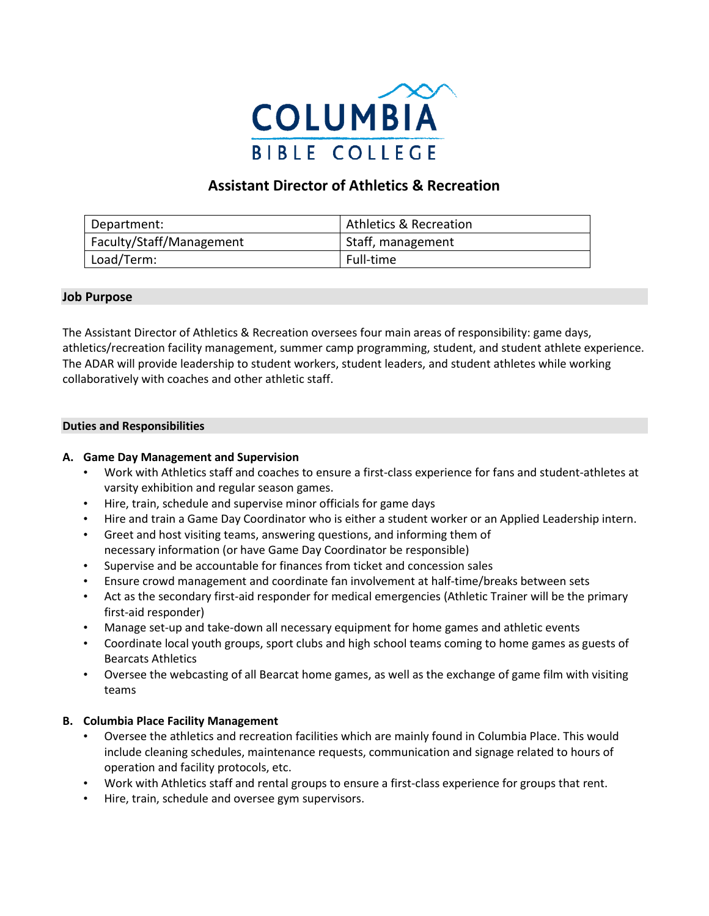

# **Assistant Director of Athletics & Recreation**

| Department:              | <b>Athletics &amp; Recreation</b> |
|--------------------------|-----------------------------------|
| Faculty/Staff/Management | Staff, management                 |
| Load/Term:               | Full-time                         |

## **Job Purpose**

The Assistant Director of Athletics & Recreation oversees four main areas of responsibility: game days, athletics/recreation facility management, summer camp programming, student, and student athlete experience. The ADAR will provide leadership to student workers, student leaders, and student athletes while working collaboratively with coaches and other athletic staff.

## **Duties and Responsibilities**

## **A. Game Day Management and Supervision**

- Work with Athletics staff and coaches to ensure a first-class experience for fans and student-athletes at varsity exhibition and regular season games.
- Hire, train, schedule and supervise minor officials for game days
- Hire and train a Game Day Coordinator who is either a student worker or an Applied Leadership intern.
- Greet and host visiting teams, answering questions, and informing them of necessary information (or have Game Day Coordinator be responsible)
- Supervise and be accountable for finances from ticket and concession sales
- Ensure crowd management and coordinate fan involvement at half-time/breaks between sets
- Act as the secondary first-aid responder for medical emergencies (Athletic Trainer will be the primary first-aid responder)
- Manage set-up and take-down all necessary equipment for home games and athletic events
- Coordinate local youth groups, sport clubs and high school teams coming to home games as guests of Bearcats Athletics
- Oversee the webcasting of all Bearcat home games, as well as the exchange of game film with visiting teams

#### **B. Columbia Place Facility Management**

- Oversee the athletics and recreation facilities which are mainly found in Columbia Place. This would include cleaning schedules, maintenance requests, communication and signage related to hours of operation and facility protocols, etc.
- Work with Athletics staff and rental groups to ensure a first-class experience for groups that rent.
- Hire, train, schedule and oversee gym supervisors.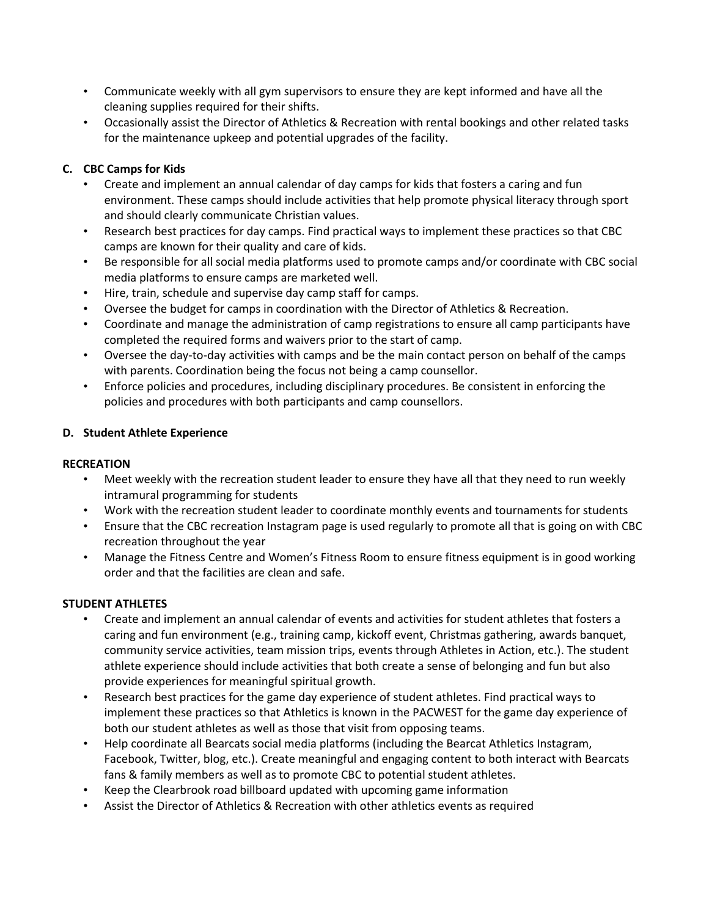- Communicate weekly with all gym supervisors to ensure they are kept informed and have all the cleaning supplies required for their shifts.
- Occasionally assist the Director of Athletics & Recreation with rental bookings and other related tasks for the maintenance upkeep and potential upgrades of the facility.

# **C. CBC Camps for Kids**

- Create and implement an annual calendar of day camps for kids that fosters a caring and fun environment. These camps should include activities that help promote physical literacy through sport and should clearly communicate Christian values.
- Research best practices for day camps. Find practical ways to implement these practices so that CBC camps are known for their quality and care of kids.
- Be responsible for all social media platforms used to promote camps and/or coordinate with CBC social media platforms to ensure camps are marketed well.
- Hire, train, schedule and supervise day camp staff for camps.
- Oversee the budget for camps in coordination with the Director of Athletics & Recreation.
- Coordinate and manage the administration of camp registrations to ensure all camp participants have completed the required forms and waivers prior to the start of camp.
- Oversee the day-to-day activities with camps and be the main contact person on behalf of the camps with parents. Coordination being the focus not being a camp counsellor.
- Enforce policies and procedures, including disciplinary procedures. Be consistent in enforcing the policies and procedures with both participants and camp counsellors.

## **D. Student Athlete Experience**

## **RECREATION**

- Meet weekly with the recreation student leader to ensure they have all that they need to run weekly intramural programming for students
- Work with the recreation student leader to coordinate monthly events and tournaments for students
- Ensure that the CBC recreation Instagram page is used regularly to promote all that is going on with CBC recreation throughout the year
- Manage the Fitness Centre and Women's Fitness Room to ensure fitness equipment is in good working order and that the facilities are clean and safe.

## **STUDENT ATHLETES**

- Create and implement an annual calendar of events and activities for student athletes that fosters a caring and fun environment (e.g., training camp, kickoff event, Christmas gathering, awards banquet, community service activities, team mission trips, events through Athletes in Action, etc.). The student athlete experience should include activities that both create a sense of belonging and fun but also provide experiences for meaningful spiritual growth.
- Research best practices for the game day experience of student athletes. Find practical ways to implement these practices so that Athletics is known in the PACWEST for the game day experience of both our student athletes as well as those that visit from opposing teams.
- Help coordinate all Bearcats social media platforms (including the Bearcat Athletics Instagram, Facebook, Twitter, blog, etc.). Create meaningful and engaging content to both interact with Bearcats fans & family members as well as to promote CBC to potential student athletes.
- Keep the Clearbrook road billboard updated with upcoming game information
- Assist the Director of Athletics & Recreation with other athletics events as required